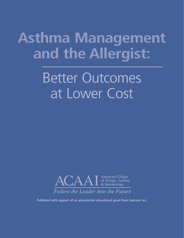# **Asthma Management and the Allergist:**

# Better Outcomes at Lower Cost



**Published with support of an unrestricted educational grant from Sepracor Inc.**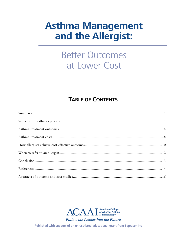## **Asthma Management** and the Allergist:

## **Better Outcomes** at Lower Cost

### **TABLE OF CONTENTS**



Published with support of an unrestricted educational grant from Sepracor Inc.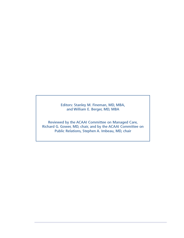Editors: Stanley M. Fineman, MD, MBA, and William E. Berger, MD, MBA

Reviewed by the ACAAI Committee on Managed Care, Richard G. Gower, MD, chair, and by the ACAAI Committee on Public Relations, Stephen A. Imbeau, MD, chair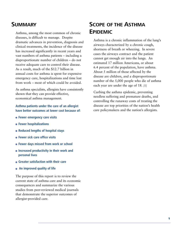### **SUMMARY**

Asthma, among the most common of chronic diseases, is difficult to manage. Despite dramatic advances in prevention, diagnosis and clinical treatments, the incidence of the disease has increased significantly in recent years and vast numbers of asthma patients – including a disproportionate number of children – do not receive adequate care to control their disease. As a result, much of the \$12.7 billion in annual costs for asthma is spent for expensive emergency care, hospitalizations and time lost from work – most of which could be avoided.

As asthma specialists, allergists have consistently shown that they can provide effective, economical asthma management.

#### **Asthma patients under the care of an allergist have better outcomes at lower cost because of:**

- **Fewer emergency care visits**
- **Fewer hospitalizations**
- **Reduced lengths of hospital stays**
- **Fewer sick care office visits**
- **Fewer days missed from work or school**
- **Increased productivity in their work and personal lives**
- **Greater satisfaction with their care**
- **An improved quality of life**

The purpose of this report is to review the current state of asthma care and its economic consequences and summarize the various studies from peer-reviewed medical journals that demonstrate the superior outcomes of allergist-provided care.

### **SCOPE OF THE ASTHMA EPIDEMIC**

Asthma is a chronic inflammation of the lung's airways characterized by a chronic cough, shortness of breath or wheezing. In severe cases the airways contract and the patient cannot get enough air into the lungs. An estimated 17 million Americans, or about 6.4 percent of the population, have asthma. About 5 million of those affected by the disease are children, and a disproportionate number of the 5,000 people who die of asthma each year are under the age of 18. *[1]*

Curbing the asthma epidemic, preventing needless suffering and premature deaths, and controlling the runaway costs of treating the disease are top priorities of the nation's health care policymakers and the nation's allergists.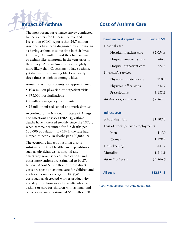### **Impact of Asthma**

The most recent surveillance survey conducted by the Centers for Disease Control and Prevention (CDC) reports that 26.7 million Americans have been diagnosed by a physician as having asthma at some time in their lives. Of these, 14.6 million said they had asthma or asthma-like symptoms in the year prior to the survey. African Americans are slightly more likely than Caucasians to have asthma, yet the death rate among blacks is nearly three times as high as among whites.

Annually, asthma accounts for approximately:

- 10.8 million physician or outpatient visits
- 478,000 hospitalizations
- 2 million emergency room visits
- 28 million missed school and work days *[2]*

According to the National Institute of Allergy and Infectious Diseases (NIAID), asthma deaths have increased steadily since the 1970s, when asthma accounted for 8.2 deaths per 100,000 population. By 1995, the rate had jumped to nearly 18 deaths per 100,000. *[1]*

The economic impact of asthma also is substantial. Direct health care expenditures such as physician visits, hospital and emergency room services, medications and other interventions are estimated to be \$7.4 billion. About \$3.2 billion of those direct costs are spent on asthma care for children and adolescents under the age of 18. *[3,4]* Indirect costs such as decreased worker productivity and days lost from work by adults who have asthma or care for children with asthma, and other losses are an estimated \$5.3 billion. *[3]*

### **Cost of Asthma Care**

|                                    | <b>Costs in \$M</b> |  |
|------------------------------------|---------------------|--|
| <b>Direct medical expenditures</b> |                     |  |
| Hospital care                      |                     |  |
| Hospital inpatient care            | \$2,054.6           |  |
| Hospital emergency care            | 546.3               |  |
| Hospital outpatient care           | 722.6               |  |
| Physician's services               |                     |  |
| Physician inpatient care           | 110.9               |  |
| Physician office visits            | 742.7               |  |
| Prescriptions                      | 3,188.1             |  |
| All direct expenditures            | \$7,365.3           |  |
|                                    |                     |  |
| <b>Indirect costs</b>              |                     |  |
| School days lost                   | \$1,107.3           |  |
| Loss of work (outside employment)  |                     |  |
|                                    |                     |  |

| Men                | 415.0      |
|--------------------|------------|
| Women              | 1,128.2    |
| Housekeeping       | 841.7      |
| Mortality          | 1,813.9    |
| All indirect costs | \$5,306.0  |
|                    |            |
| All costs          | \$12,671.3 |
|                    |            |

**Source: Weiss and Sullivan.** *J Allergy Clin Immunol* **2001.**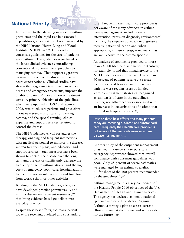### **National Priority**

In response to the alarming increase in asthma prevalence and the rapid rise in associated expenditures, an expert panel was convened by the NIH National Heart, Lung and Blood Institute (NHLBI) in 1991 to develop consensus guidelines for the care of patients with asthma. The guidelines were based on the latest clinical evidence contradicting conventional, conservative approaches to managing asthma. They support aggressive treatment to control the disease and avoid acute exacerbations. Clinical studies have shown that aggressive treatment can reduce deaths and emergency treatments, improve the quality of patients' lives and lower treatment costs. A primary objective of the guidelines, which were updated in 1997 and again in 2002, was to educate patients and physicians about new standards of care for treating asthma, and the special training, clinical expertise and support services required to control the disease.

The NIH Guidelines *[5]* call for aggressive therapy, ongoing and frequent interactions with medical personnel to monitor the disease, written treatment plans, and education and support services. Such measures have been shown to control the disease over the long term and prevent or significantly decrease the frequency of acute asthma attacks and the high costs of emergency room care, hospitalization, frequent physician interventions and time lost from work, school or other activities.

Building on the NIH Guidelines, allergists have developed practice parameters *[6]* and asthma disease management resources *[7]* that bring evidence-based guidelines into everyday practice.

Despite these best efforts, too many patients today are receiving outdated and substandard care. Frequently their health care provider is not aware of the many advances in asthma disease management, including early intervention, precision diagnosis, environmental controls, the stepwise approach to aggressive therapy, patient education and, when appropriate, immunotherapy – regimens that are well known to the asthma specialist.

An analysis of treatments provided to more than 24,000 Medicaid asthmatics in Kentucky, for example, found that nonadherence to the NIH Guidelines was prevalent. Fewer than 40 percent of patients received a rescue medication and fewer than 10 percent of patients were regular users of inhaled steroids – treatment strategies recognized as standards of care in the guidelines. Further, nonadherence was associated with an increase in exacerbations of asthma that resulted in hospitalizations. *[8]*

**Despite these best efforts, too many patients today are receiving outdated and substandard care. Frequently their health care provider is not aware of the many advances in asthma disease management....**

Another study of the outpatient management of asthma in a university tertiary care emergency department showed that overall compliance with consensus guidelines was poor. Only 28 percent of severe asthmatics were managed by an asthma specialist, "…far short of the 100 percent recommended by the guidelines." *[9]*

Asthma management is a key component of the Healthy People 2010 objectives of the U.S. Department of Health and Human Services. The agency has declared asthma a national epidemic and called for Action Against Asthma, a strategic plan to assess current efforts to combat the disease and set priorities for the future. *[10]*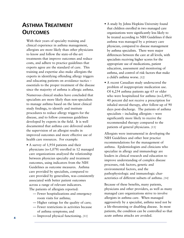### **ASTHMA TREATMENT OUTCOMES**

With their years of specialty training and clinical experience in asthma management, allergists are more likely than other physicians to know and follow the state-of-the-art treatments that improve outcomes and reduce costs, and adhere to practice guidelines that experts agree are the standard of care. This training and expertise also make allergists the experts in identifying offending allergy triggers and educating patients on avoidance tactics – essentials to the proper treatment of the disease since the majority of asthma is allergic asthma.

Numerous clinical studies have concluded that specialists are more likely than non-specialists to manage asthma based on the latest clinical study findings, to identify and institute procedures to reduce allergy triggers for the disease, and to follow consensus guidelines developed by experts in the field. It is well documented that asthma care delivered under the supervision of an allergist results in improved outcomes and more effective use of health care resources. For example:

- A survey of 1,954 patients and their physicians (n=1,078) enrolled in 12 managed care organizations analyzed the relationship between physician specialty and treatment outcomes, using indicators from the NIH Guidelines as outcome measures. Asthma care provided by specialists, compared to care provided by generalists, was consistently associated with better patient outcomes across a range of relevant indicators. The patients of allergists reported:
	- Fewer hospitalizations and emergency room visits for asthma;
	- Higher ratings for the quality of care;
	- Fewer restrictions in activities because of asthma symptoms; and
	- Improved physical functioning. *[11]*
- A study by Johns Hopkins University found that children enrolled in two managed care organizations were significantly less likely to be treated according to NIH Guidelines if their asthma was managed by a primary care physician, compared to disease management by asthma specialists. There were major differences between the care at all levels, with specialists receiving higher scores for the appropriate use of medications, patient education, assessment and monitoring of asthma, and control of risk factors that make a child's asthma worse. *[12]*
- A recent Canadian study underscored the problem of inappropriate medication use. Of 6,254 asthma patients age 65 or older who were hospitalized for asthma (n=2,495), 40 percent did not receive a prescription for inhaled steroid therapy, after follow-up of 90 days post-discharge. The patients of asthma specialists – including allergists – were significantly more likely to receive the recommended therapy compared to the patients of general physicians. *[13]*

Allergists were instrumental in developing the NIH Guidelines and other best practice recommendations for the management of asthma. Epidemiologists and clinicians who specialize in allergy and immunology are leaders in clinical research and education to improve understanding of complex disease processes, risk factors, genetic and environmental factors, and the pathophysiologic and immunologic characteristics of different subsets of asthma. *[14]*

Because of these benefits, many patients, physicians and other providers, as well as many managed care organizations strive to involve allergists in asthma care. When managed aggressively by a specialist, asthma need not be a life-threatening or disabling disease. In most patients, the condition can be controlled so that acute asthma attacks are avoided.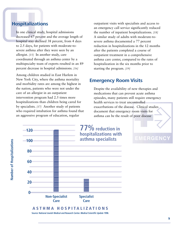### **Hospitalizations**

In one clinical study, hospital admissions decreased 67 percent and the average length of hospital stay declined 38 percent, from 4 days to 2.5 days, for patients with moderate-tosevere asthma after they were seen by an allergist. *[15]* In another study, care coordinated through an asthma center by a multispecialty team of experts resulted in an 89 percent decrease in hospital admissions. *[16]*

Among children studied in East Harlem in New York City, where the asthma mortality and morbidity rates are among the highest in the nation, patients who were not under the care of an allergist in an outpatient intervention program had 2.5 times more hospitalizations than children being cared for by specialists. *[17]* Another study of patients who required intubation for asthma found that an aggressive program of education, regular

outpatient visits with specialists and access to an emergency call service significantly reduced the number of inpatient hospitalizations. *[18]* A similar study of adults with moderate-tosevere asthma documented a 77 percent reduction in hospitalizations in the 12 months after the patients completed a course of outpatient treatment in a comprehensive asthma care center, compared to the rates of hospitalization in the six months prior to starting the program. *[19]*

### **Emergency Room Visits**

Despite the availability of new therapies and medications that can prevent acute asthma episodes, many patients still require emergency health services to treat uncontrolled exacerbations of the disease. Clinical studies document that emergency room visits for asthma can be the result of poor disease

**EMERGENCY** 



**Source: National Jewish Medical and Research Center.** *Medical Scientific Update* **1998.**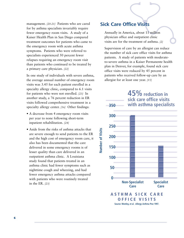management. *[20-21]* Patients who are cared for by asthma specialists invariably require fewer emergency room visits. A study of a Kaiser Health Plan in San Diego compared treatment outcomes for patients who came to the emergency room with acute asthma symptoms. Patients who were referred to specialists experienced 50 percent fewer relapses requiring an emergency room visit than patients who continued to be treated by a primary care physician. *[22]*

In one study of individuals with severe asthma, the average annual number of emergency room visits was 3.45 for each patient enrolled in a specialty allergy clinic, compared to 6.1 visits for patients who were not enrolled. *[23]* In another study, a 76 percent reduction in ER visits followed comprehensive treatment in a specialty allergy center. *[16]* Other findings:

- A decrease from 4 emergency room visits per year to none following short-term inpatient rehabilitation. *[24]*
- Aside from the risks of asthma attacks that are severe enough to send patients to the ER and the high cost of emergency room care, it also has been documented that the care delivered in some emergency rooms is of lesser quality than care delivered in an outpatient asthma clinic. A Louisiana study found that patients treated in an asthma clinic had fewer symptoms such as nighttime cough and wheezing, and had fewer emergency asthma attacks compared with patients who were routinely treated in the ER. *[23]*

### **Sick Care Office Visits**

Annually in America, about 11 million physician office and outpatient clinic visits are for the treatment of asthma. *[2]*

Supervision of care by an allergist can reduce the number of sick care office visits for asthma patients. A study of patients with moderateto-severe asthma in a Kaiser Permanente health plan in Denver, for example, found sick care office visits were reduced by 45 percent in patients who received follow-up care by an allergist for at least one year. *[15]*

### **Non-Specialist Care 50 100 150 200 250 300 350 Specialist Care ASTHMA SICK CARE OFFICE VISITS 45% reduction in sick care office visits with asthma specialists 0**

**Number of Visits**

**Number of Visits** 

**Source: Westley, et al.** *Allergy Asthma Proc* **1997.**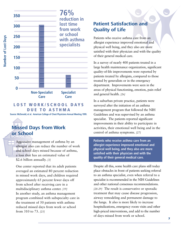



#### **LOST WORK/SCHOOL DAYS DUE TO ASTHMA**

**Source: McDonald, et al. American College of Chest Physicians Annual Meeting 1999.**

### **Missed Days from Work or School**

Aggressive management of asthma by an allergist also can reduce the number of work and school days missed because of asthma, a loss that has an estimated value of \$2.6 billion annually. *[3]*

One center reported that its adult patients averaged an estimated 80 percent reduction in missed work days, and children required approximately 65 percent fewer days off from school after receiving care in a multidisciplinary asthma center. *[19]* In another study, an asthma management program combined with subspecialty care in the treatment of 50 patients with asthma reduced missed days from work or school from 310 to 73. *[25]*

### **Patient Satisfaction and Quality of Life**

Patients who receive asthma care from an allergist experience improved emotional and physical well being, and they also are more satisfied with their physician and with the quality of their general medical care.

In a survey of nearly 400 patients treated in a large health maintenance organization, significant quality-of-life improvements were reported by patients treated by allergists, compared to those treated by generalists or in the emergency department. Improvements were seen in the areas of physical functioning, emotion, pain relief and general health. *[26]*

In a suburban private practice, patients were surveyed after the initiation of an asthma management program that followed the NIH Guidelines and was supervised by an asthma specialist. The patients reported significant improvements in their ability to participate in activities, their emotional well being and in the control of asthma symptoms. *[27]*

**Patients who receive asthma care from an allergist experience improved emotional and physical well being, and they also are more satisfied with their physician and with the quality of their general medical care.**

Despite all this, some health care plans still today place obstacles in front of patients seeking referral to an asthma specialist, even when referral to a specialist is recommended in the NIH Guidelines and other national consensus recommendations. *[28-29]* The result is conservative or sporadic treatment that may cause disease progression, airway remodeling and permanent damage to the lungs. It also is more likely to increase hospitalizations, emergency room visits and other high-priced interventions, and add to the number of days missed from work or school.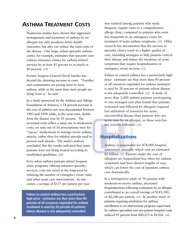### **ASTHMA TREATMENT COSTS**

Numerous studies have shown that aggressive management and treatment of asthma by an allergist not only produces better health outcomes, but also can reduce the total costs of the disease. One large, urban specialty asthma center, for example, estimates that specialty care reduces insurance claims for asthma-related services by at least 45 percent to as much as 80 percent. *[19]*

Former Surgeon General David Satcher has decried the alarming increase in costs. "Families and communities are paying more to treat asthma, while at the same time more people are dying from it," he said.

In a study sponsored by the Asthma and Allergy Foundation of America, a 54 percent increase in the cost of asthma care was documented between 1985 and 1994 while, at the same time, deaths from the disease rose by 41 percent. The increased costs reflect a steep rise in medication costs, yet nine out of 10 prescriptions were for "rescue" medications to manage severe asthma attacks, rather than for inhaled steroids used to prevent such attacks. The study's authors concluded that the results indicated that many patients were not being treated according to established guidelines. *[30]*

Even when asthma patients attend frequent clinic programs offering intensive specialty services, costs are saved in the long-term by reducing the number of emergency room visits and other acute care interventions. In one center, a savings of \$137 per patient per year

**Failure to control asthma has a particularly high price: estimates are that more than 80 percent of all resources expended for asthma treatment is used by 20 percent of patients whose disease is not adequately controlled.**

was realized among patients who made frequent, regular visits to a comprehensive allergy clinic, compared to patients who went less frequently to an emergency room for treatment of acute asthma symptoms. *[23]* Other research has documented that the services in specialty clinics result in a higher quality of care, including strategies to help patients control their disease and reduce the incidence of acute symptoms that require hospitalization or emergency room services. *[31]*

Failure to control asthma has a particularly high price: estimates are that more than 80 percent of all resources expended for asthma treatment is used by 20 percent of patients whose disease is not adequately controlled. *[32]* A study of more than 2,000 asthma patients participating in one managed care plan found that patients evaluated and followed by allergists required less utilization of resources for acute, uncontrolled disease than patients who are never seen by an allergist, or those seen but not actively followed. *[33]*

#### **Hospitalizations**

Asthma is responsible for 478,000 hospital admissions annually, which cost an estimated \$2 billion. *[3]* Patients under the care of allergists are hospitalized less often for asthma symptoms and have shorter lengths of stay, which can lower the cost of inpatient asthma care dramatically.

In a retrospective study of 70 patients with moderate-to-severe asthma, decreased hospitalizations following evaluation by an allergist contributed to an overall savings of \$145,500, or \$2,100 per patient. *[15]* In another study of patients requiring intubation for asthma, enrollment in an intervention program supervised by asthma specialists saw per-patient hospital costs reduced 95 percent from \$40,253 to \$1,926. *[18]*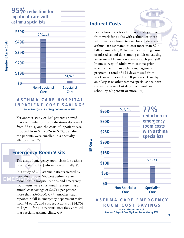

#### **ASTHMA CARE HOSPITAL INPATIENT COST SAVINGS Source: Doan T, et al.** *Ann Allergy Asthma Immunol* **1996.**

Yet another study of 125 patients showed that the number of hospitalizations decreased from 38 to 4, and the costs of inpatient care dropped from \$192,926 to \$20,308, after the patients were enrolled in a specialty allergy clinic. *[16]*

### **Emergency Room Visits**

The cost of emergency room visits for asthma is estimated to be \$546 million annually. *[3]*

In a study of 207 asthma patients treated by specialists at one Midwest asthma center, reductions in hospitalizations and emergency room visits were substantial, representing an annual cost savings of \$2,714 per patient – more than \$560,000. *[27 ]* Another study reported a fall in emergency department visits from 74 to 17, and cost reductions of \$34,706 to \$7,973, for 125 patients after they enrolled in a specialty asthma clinic. *[16]*

### **Indirect Costs**

 **ER Costs**

ER Costs

Lost school days for children and days missed from work for adults with asthma, or those who must stay home to care for children with asthma, are estimated to cost more than \$2.6 billion annually. *[3]* Asthma is a leading cause of missed school days among children, causing an estimated 10 million absences each year. *[10]* In one survey of adults with asthma prior to enrollment in an asthma management program, a total of 194 days missed from work were reported by 78 patients. Care by an allergist or other asthma specialist has been shown to reduce lost days from work or school by 80 percent or more. *[19]*



EM.

**9**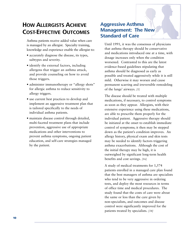### **HOW ALLERGISTS ACHIEVE COST-EFFECTIVE OUTCOMES**

Asthma patients receive added value when care is managed by an allergist. Specialty training, knowledge and experience enable the allergist to:

- accurately diagnose the disease, its types, subtypes and severity.
- identify the external factors, including allergens that trigger an asthma attack, and provide counseling on how to avoid those triggers.
- administer immunotherapy or "allergy shots" for allergic asthma to reduce sensitivity to allergy triggers.
- use current best practices to develop and implement an aggressive treatment plan that is tailored specifically to the needs of individual asthma patients.
- maintain disease control through detailed, multi-faceted treatment plans that include prevention, aggressive use of appropriate medications and other interventions to prevent asthma symptoms, ongoing patient education, and self-care strategies managed by the patient.

### **Aggressive Asthma Management: The New Standard of Care**

Until 1991, it was the consensus of physicians that asthma therapy should be conservative and medications introduced one at a time, with dosage increases only when the condition worsened. Contrasted to this are the latest evidence-based guidelines stipulating that asthma should be diagnosed as early as possible and treated aggressively while it is still mild. Otherwise it may worsen and cause permanent scarring and irreversible remodeling of the lungs' airways. *[5]*

The disease should be treated with multiple medications, if necessary, to control symptoms as soon as they appear. Allergists, with their extensive experience using these medications, are able to prescribe them properly for the individual patient. Aggressive therapy should be initiated at the onset to establish immediate control of symptoms; it then may be stepped down as the patient's condition improves. An allergy history, physical exam and skin tests may be needed to identify factors triggering asthma exacerbations. Although the cost of the initial therapy may be high, it is outweighed by significant long-term health benefits and cost savings. *[16]*

A study of medical treatments for 1,574 patients enrolled in a managed care plan found that the best managers of asthma are specialists who tend to be very aggressive in ordering tests, and deploy the most resources in terms of office time and medical procedures. The study found that the costs of care were about the same or less than the care given by non-specialists, and outcomes and disease control were significantly improved for the patients treated by specialists. *[34]*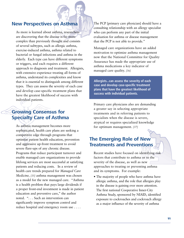#### **New Perspectives on Asthma**

As more is learned about asthma, researchers are discovering that the disease is far more complex than previously thought and consists of several subtypes, such as allergic asthma, exercise-induced asthma, asthma related to bacterial or fungal infections and asthma in the elderly. Each type can have different symptoms or triggers, and each requires a different approach to diagnosis and treatment. Allergists, with extensive experience treating all forms of asthma, understand its complexities and know that it is essential to distinguish among different types. They can assess the severity of each case and develop case-specific treatment plans that have the greatest likelihood of success with individual patients.

### **Growing Consensus for Specialty Care of Asthma**

As asthma management becomes more sophisticated, health care plans are seeking a competitive edge through programs that optimize patient health education, prevention and aggressive up-front treatment to avoid severe flare-ups of any chronic disease. Programs that reduce participant turnover and enable managed care organizations to provide lifelong services are most successful at satisfying patients and reducing costs. In a review of health care trends prepared for *Managed Care Medicine, [35]* asthma management was chosen as a model for the new managed care. "Asthma is a health problem that pays large dividends if a proper front-end investment is made in patient education and preventive care," the author noted. ". . . Such an intervention can significantly improve symptom control and reduce hospital and emergency room use . . . .

The PCP [primary care physician] should have a consulting relationship with an allergy specialist who can perform any part of the initial evaluation for asthma or disease management that the PCP is not able to provide."

Managed care organizations have an added motivation to optimize asthma management now that the National Committee for Quality Assurance has made the appropriate use of asthma medications a key indicator of managed care quality. *[36]*

**Allergists...can assess the severity of each case and develop case-specific treatment plans that have the greatest likelihood of success with individual patients.**

Primary care physicians also are demanding a greater say in selecting appropriate treatments and in referring patients to specialists when the disease is severe, atypical or requires specialized knowledge for optimum management. *[37]*

### **The Emerging Role of New Treatments and Preventions**

Recent studies have focused on identifying risk factors that contribute to asthma or to the severity of the disease, as well as new approaches to treating or preventing asthma and its symptoms. For example:

• The majority of people who have asthma have allergic asthma, and the role that allergies play in the disease is gaining ever more attention. The first national Cooperative Inner-City Asthma Study, sponsored by NIAID, identified exposure to cockroaches and cockroach allergy as a major influence of the severity of asthma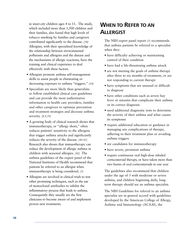in inner-city children ages 4 to 11. The study, which included more than 1,500 children and their families, also found that high levels of tobacco smoking by families and caregivers contributed significantly to the disease. *[38]* Allergists, with their specialized knowledge of the relationship between environmental pollutants and allergens and the disease and the mechanisms of allergic reactions, have the training and clinical experience to deal effectively with these factors.

- Allergists promote asthma self-management skills to assist people in eliminating or decreasing exposure to asthma "triggers." *[14]*
- Specialists are more likely than generalists to follow established clinical care guidelines and can provide the most authoritative information to health care providers, families and other caregivers to optimize prevention and treatment strategies and decrease asthma severity. *[8,9,39]*
- A growing body of clinical research shows that immunotherapy, or "allergy shots," often reduces patients' sensitivity to the allergens that trigger asthma attacks and significantly reduces the severity of the disease. *[40-41]* Research also shows that immuotherapy can reduce the development of allergic asthma in children with seasonal allergies. *[42]* The asthma guidelines of the expert panel of the National Institutes of Health recommend that patients be referred to an allergist when immunotherapy is being considered. *[5]*
- Allergists are involved in clinical trials to test other promising techniques, such as the use of monoclonal antibodies to inhibit the inflammatory process that leads to asthma. Consequently they usually are the first clinicians to become aware of and implement proven new treatments.

### **WHEN TO REFER TO AN ALLERGIST**

The NIH expert panel report *[5]* recommends that asthma patients be referred to a specialist when they:

- have difficulty achieving or maintaining control of their condition
- have had a life-threatening asthma attack
- are not meeting the goals of asthma therapy after three to six months of treatment, or are not responding to current therapy
- have symptoms that are unusual or difficult to diagnose
- have other conditions such as severe hay fever or sinusitis that complicate their asthma or its correct diagnosis
- need additional diagnostic tests to determine the severity of their asthma and what causes its symptoms
- require additional education or guidance in managing any complications of therapy, adhering to their treatment plan or avoiding asthma triggers
- are candidates for immunotherapy
- have severe, persistent asthma
- require continuous oral high-dose inhaled corticosteroid therapy, or have taken more than two bursts of oral corticosteroids in one year

The guidelines also recommend that children under the age of 3 with moderate or severe asthma, and children beginning daily, longterm therapy should see an asthma specialist.

The NIH Guidelines for referral to an asthma specialist are in general accord with guidelines developed by the American College of Allergy, Asthma and Immunology (ACAAI), the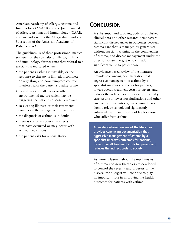American Academy of Allergy, Asthma and Immunology (AAAAI) and the Joint Council of Allergy, Asthma and Immunology (JCAAI), and are endorsed by the Allergy-Immunology Subsection of the American Academy of Pediatrics (AAP).

The guidelines *[6]* of these professional medical societies for the specialty of allergy, asthma and immunology further state that referral to a specialist is indicated when:

- the patient's asthma is unstable, or the response to therapy is limited, incomplete or very slow, and poor symptom control interferes with the patient's quality of life
- identification of allergens or other environmental factors which may be triggering the patient's disease is required
- co-existing illnesses or their treatments complicate the management of asthma
- the diagnosis of asthma is in doubt
- there is concern about side effects that have occurred or may occur with asthma medications
- the patient asks for a consultation

### **CONCLUSION**

A substantial and growing body of published clinical data and other research demonstrate significant discrepancies in outcomes between asthma care that is managed by generalists without specialty training in the complexities of asthma, and disease management under the direction of an allergist who can add significant value to patient care.

An evidence-based review of the literature provides convincing documentation that aggressive management of asthma by a specialist improves outcomes for patients, lowers overall treatment costs for payers, and reduces the indirect costs to society. Specialty care results in fewer hospitalizations and other emergency interventions, fewer missed days from work or school, and significantly enhanced health and quality of life for those who suffer from asthma.

**An evidence-based review of the literature provides convincing documentation that aggressive management of asthma by a specialist improves outcomes for patients, lowers overall treatment costs for payers, and reduces the indirect costs to society.**

As more is learned about the mechanisms of asthma and new therapies are developed to control the severity and progress of the disease, the allergist will continue to play an important role in improving the health outcomes for patients with asthma.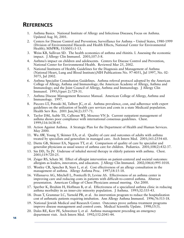### **REFERENCES**

- 1. Asthma Basics. National Institute of Allergy and Infectious Diseases; Focus on Asthma. Updated Aug 30, 2001.
- 2. Centers for Disease Control and Prevention; Surveillance for Asthma United States, 1980-1999 (Division of Environmental Hazards and Health Effects, National Center for Environmental Health); MMWR; 51(SS01):1-13.
- 3. Weiss KB, Sullivan SD. The health economics of asthma and rhinitis. I. Assessing the economic impact. J Allergy Clin Immunol. 2001;107:3-8.
- 4. Asthma's impact on children and adolescents. Centers for Disease Control and Prevention, National Center for Environmental Health. Reviewed Mar 25, 2002.
- 5. National Institutes of Health; Guidelines for the Diagnosis and Management of Asthma (National Heart, Lung and Blood Institute);NIH Publications No. 97-4051, Jul 1997, No. 02- 5075, Jul 2002.
- 6. Asthma Specialist Consultation Guidelines. Asthma referral protocol adopted by the American College of Allergy, Asthma and Immunology; the American Academy of Allergy, Asthma and Immunology; and the Joint Council of Allergy, Asthma and Immunology. J Allergy Clin Immunol. 1995;5(part 2):729-31.
- 7. Asthma Disease Management Resource Manual. American College of Allergy, Asthma and Immunology. 1997.
- 8. Piecoro LT, Potoski M, Talbert JC, et al. Asthma prevalence, cost, and adherence with expert guidelines on the utilization of health care services and costs in a state Medicaid population. Health Serv Res. 2001 Jun;36(2):357-71.
- 9. Taylor DM, Auble TE, Calhoun WJ, Mosesso VN Jr. Current outpatient management of asthma shows poor compliance with international consensus guidelines. Chest. 1999;116:1638-45.
- 10. Action Against Asthma. A Strategic Plan for the Department of Health and Human Services. May 2000.
- 11. Wu AW, Young Y, Skinner EA, et al. Quality of care and outcomes of adults with asthma treated by specialists and generalists in managed care. Arch Intern Med. 2001;161:2554-60.
- 12. Diette GB, Skinner EA, Nguyen TT, et al. Comparison of quality of care by specialist and generalist physicians as usual source of asthma care for children. Pediatrics. 2001;108(2):432-37.
- 13. Sin DD, Tu JV. Underuse of inhaled steroid therapy in elderly patients with asthma. Chest. 2001;119:720-25.
- 14. Zeiger RS, Schatz M. Effect of allergist intervention on patient-centered and societal outcomes: allergists as leaders, innovators, and educators. J Allergy Clin Immunol. 2002;106(6):995-1018.
- 15. Westley CR, Spiecher B, Starr L, et al. Cost effectiveness of an allergy consultation in the management of asthma. Allergy Asthma Proc. 1997;18:15-18.
- 16. Villanueva AG, Mitchell L, Ponticelli D, Levine AS. Effectiveness of an asthma center in improving care and reducing costs in patients with difficult-to-control asthma. Abstract presentation. American College of Chest Physicians annual meeting. Oct 2000.
- 17. Sperber K, Ibrahim H, Hoffman B, et al. Effectiveness of a specialized asthma clinic in reducing asthma morbidity in an inner-city minority population. J Asthma. 1995;32:335-43.
- 18. Doan T, Grammar LC, Yarnold PR, et al. An intervention program to reduce the hospitalization cost of asthmatic patients requiring intubation. Ann Allergy Asthma Immunol. 1996;76:513-18.
- 19. National Jewish Medical and Research Center. Outcomes prove asthma treatment programs improve disease management and control costs. Medical Scientific Update.  $1998;15(3)$ .
- 20. Dales RE, Kerr PE, Schweitzer I, et al. Asthma management preceding an emergency department visit. Arch Intern Med. 1992;152:2041-44.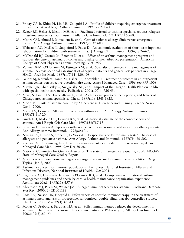- 21. Friday GA Jr, Khine H, Lin MS, Caliguiri LA. Profile of children requiring emergency treatment for asthma. Ann Allergy Asthma Immunol. 1997;78:221-24.
- 22. Zeiger RS, Heller S, Mellon MH, et al. Facilitated referral to asthma specialist reduces relapses in asthma emergency room visits. J Allergy Clin Immunol. 1991;87:1160-68.
- 23. Moore CM, Ahmed I, Mouallem R, et al. Care of asthma: allergy clinic versus emergency room. Ann Allergy Asthma Immunol. 1997;78:373-80.
- 24. Weinstein AG, McKee L, Stapleford J, Faust D. An economic evaluation of short-term inpatient rehabilitation for children with severe asthma. J Allergy Clin Immunol. 1996;98:264-73.
- 25. McDonald RJ, Cosmic M, Berchou K, et al. Effect of an asthma management program and subspecialty care on asthma outcomes and quality of life. Abstract presentation. American College of Chest Physicians annual meeting. Oct 1999.
- 26. Vollmer WM, O'Hollaren M, Ettinger KM, et al. Specialty differences in the management of asthma. A cross-sectional assessment of allergists' patients and generalists' patients in a large HMO. Arch Int Med. 1997;157(11):1201-08.
- 27. Gaioni SJ, Korenblat-Hanin M, Fisher EB, Korenblat P. Treatment outcomes in an outpatient asthma center: retrospective questionnaire data. Amer J Managed Care. 1996 Sep;999-1008.
- 28. Mitchell JB, Khatustsky G, Swigonsky NL, et al. Impact of the Oregon Health Plan on children with special health care needs. Pediatrics. 2001;107(4):736-43.
- 29. Moy JN, Grant EN, Turner-Roan K, et al. Asthma care practices, perceptions, and beliefs of Chicago-area asthma specialists. Chest. 1999;116:154S-162S.
- 30. Moon M. Costs of asthma care up by 54 percent in 10-year period. Family Practice News. Oct 1, 2000.
- 31. Mahr TA, Evans R. Allergist influence on asthma care. Ann Allergy Asthma Immunol. 1993;71:115-20.
- 32. Smith DH, Malone DC, Lawson KA, et al. A national estimate of the economic costs of asthma. Am J Respir Crit Care Med. 1997;156:787-93.
- 33. Bukstein D, Luskin A. Specialty influence on acute care resource utilization by asthma patients. Ann Allergy Asthma Immunol. 1998;80:106.
- 34. Nyman JA, Hillson S, Stoner T, DeVries A. Do specialists order too many tests? The case of allergists and pediatric asthma. Ann Allergy Asthma and Immunol. 1997;79:496-502.
- 35. Keenan JM. Optimizing health: asthma management as a model for the new managed care. Managed Care Med. 1995 Nov-Dec;20-28.
- 36. National Committee for Quality Assurance; The state of managed care quality, 2000; NCQA's State of Managed Care Quality Report.
- 37. More power to you: Some managed care organizations are loosening the reins a little. Drug Topics. Jan 3, 2000.
- 38. Asthma: a concern for minority populations. Fact Sheet, National Institute of Allergy and Infectious Diseases, National Institutes of Health. Oct 2001.
- 39. Legorreta AP, Christian-Herman J, O'Connor RD, et al. Compliance with national asthma management guidelines and specialty care: a health maintenance organization experience. Arch Intern Med. 1998;158:457-64.
- 40. Abramson MJ, Puy RM, Weiner JM. Allergen immunotherapy for asthma. Cochrane Database Syst Rev. 2000;(2):CD001186.
- 41. Ross RN, Nelson HS, Finegold I. Effectiveness of specific immunotherapy in the treatment of asthma: a meta-analysis of prospective, randomized, double-blind, placebo-controlled studies. Clin Ther. 2000 Mar;22(3):329-41.
- 42. Moller C, Dreborg S, Ferdousi HA, et al. Pollen immuotherapy reduces the development of asthma in children with seasonal rhinoconjunctivitis (the PAT-study). J Allergy Clin Immunol. 2002;109(2):251-56.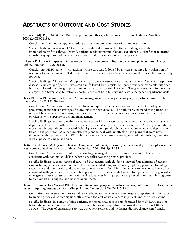### **ABSTRACTS OF OUTCOME AND COST STUDIES**

#### **Abramson MJ, Puy RM, Weiner JM. Allergen immunotherapy for asthma. Cochrane Database Syst Rev. 2000;(2):CD001186.**

**Conclusion:** Immunotherapy may reduce asthma symptoms and use of asthma medications.

**Specific findings:** A review of 54 trials was conducted to assess the effects of allergen-specific immunotherapy for asthma. Overall, patients receiving immunotherapy experienced a significant reduction in asthma symptoms and medication use compared to those randomized to placebo.

#### **Bukstein D, Luskin A. Specialty influence on acute care resource utilization by asthma patients. Ann Allergy Asthma Immunol. 1998;80:106.**

**Conclusion:** HMO patients with asthma whose care was followed by allergists required less utilization of resources for acute, uncontrolled disease than patients never seen by an allergist or those seen but not actively followed.

**Specific findings:** More than 2,000 patient charts were reviewed for asthma and chronic/recurrent respiratory disease. One group of patients was seen and followed by allergists, one group was seen by an allergist once but not followed and one group was seen only by primary care physicians. The group seen and followed by allergists had fewer hospitalizations, shorter lengths of hospital stay and fewer emergency department visits.

#### **Dales RE, Kerr PE, Schweitzer I, et al. Asthma management preceding an emergency department visit. Arch Intern Med. 1992;152:2041-44.**

**Conclusion:** A significant number of adults who required emergency care for asthma lacked adequate preexisting management strategies for dealing with their disease. The authors recommend that patients be screened by emergency physicians, and those with identifiable inadequacies in usual care be referred to physicians with expertise in asthma management.

**Specific findings:** A questionnaire was completed by 111 consecutive patients who came to the emergency department because of asthma. 25% of patients suffered sleep disturbance more than 15 days per month, had more than 14 days absent from work/school per year and previously had visited an emergency department twice in the past year. 69% had no effective plans to deal with an attack or had plans that were never discussed with a physician. Of 78% who reported that cigarette smoke aggravated their asthma, one-third were exposed to smoke at home.

**Diette GB, Skinner EA, Nguyen TT, et al. Comparison of quality of care by specialist and generalist physicians as usual source of asthma care for children. Pediatrics. 2001;108(2):432-37.**

**Conclusion:** Asthma care in children in two large managed care organizations was more likely to be consistent with national guidelines when a specialist was the primary provider.

**Specific findings:** A cross-sectional survey of 260 parents with children reviewed four domains of patient care including patient education, control of factors contributing to asthma symptoms, periodic physiologic assessment and monitoring, and proper use of medications. In all four domains, care was more likely to be consistent with guidelines when specialists provided care. Greatest differences for specialist versus generalist management were for use of controller medications, ever having a pulmonary function test, and having been told about asthma triggers and how to avoid them.

**Doan T, Grammar LC, Yarnold PR, et al. An intervention program to reduce the hospitalization cost of asthmatic patients requiring intubation. Ann Allergy Asthma Immunol. 1996;76:513-18.**

**Conclusion:** An intervention program that included education, specialist care, regular outpatient visits and access to an emergency call service significantly reduced the cost of asthma care in patients intubated for asthma.

**Specific findings:** In a study of nine patients, the mean total cost of care decreased from \$43,066 the year before the intervention to \$4,914 the year after. Inpatient hospitalization costs decreased from \$40,253 to \$1,926. The costs of emergency services, outpatient services and medicines did not change significantly.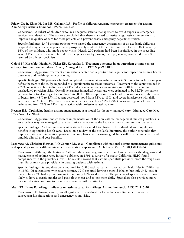#### **Friday GA Jr, Khine H, Lin MS, Caliguiri LA. Profile of children requiring emergency treatment for asthma. Ann Allergy Asthma Immunol. 1997;78:221-24.**

**Conclusion:** A subset of children who lack adequate asthma management to avoid expensive emergency services was identified. The authors concluded that there is a need to institute aggressive interventions to improve the quality of care for these patients and prevent costly emergency department visits.

**Specific findings:** 1,474 asthma patients who visited the emergency department of an academic children's hospital during a one-year period were prospectively studied. Of the total number of visits, 36% were by 16% of the children, who made repeat visits. Nearly 200 patients had been hospitalized in the preceding year. 44% of patients were referred for emergency care by primary care physicians, compared to 6.7% referred by allergy specialists.

#### **Gaioni SJ, Korenblat-Hanin M, Fisher EB, Korenblat P. Treatment outcomes in an outpatient asthma center: retrospective questionnaire data. Amer J Managed Care. 1996 Sep;999-1008.**

**Conclusion:** Aggressive treatment at an asthma center had a positive and significant impact on asthma health outcomes and health system cost savings.

**Specific findings:** 207 patients who had completed treatment at an asthma center in St. Louis for at least one year before the start of the study, responded to a questionnaire to assess outcomes. Treatment at the center resulted in a 78% reduction in hospitalizations, a 73% reduction in emergency room visits and a 48% reduction in unscheduled physician visits. Overall net savings in medical system use were estimated to be \$2,714 per patient per year, for a total savings of more than \$560,000. Other improvements included decreases in severe shortness of breath from 48% to 15%, frequent depressed mood from 32% to 13%, and severe interference with daily activities from 31% to 11%. Patients also noted an increase from 48% to 96% in knowledge of self care for asthma and from 21% to 78% in satisfaction with professional asthma care.

#### **Keenan JM. Optimizing health: asthma management as a model for the new managed care. Managed Care Med. 1995 Nov-Dec;20-28.**

**Conclusion:** Aggressive and consistent implementation of the new asthma management clinical guidelines is an excellent way for managed care organizations to optimize the health of their community of patients.

**Specific findings:** Asthma management is studied as a model to illustrate the individual and population benefits of optimizing health care. Based on a review of the available literature, the author concludes that implementation of intervention programs in compliance with existing guidelines will provide immediate and tangible clinical and cost benefits.

#### **Legorreta AP, Christian-Herman J, O'Connor RD, et al. Compliance with national asthma management guidelines and specialty care: a health maintenance organization experience. Arch Intern Med. 1998;158:457-64.**

**Conclusion:** Although the National Asthma Education Program expert panel guidelines for the diagnosis and management of asthma were initially published in 1991, a survey of a major California HMO found compliance with the guidelines low. The results showed that asthma specialists provided more thorough care than did primary care physicians in treating patients with asthma.

**Specific findings:** Survey data were analyzed for 5,580 asthma patients covered by Health Net in California in 1996. Of respondents with severe asthma, 72% reported having a steroid inhaler, but only 54% used it daily. Only 26% had a peak flow meter and only 16% used it daily. The patients of specialists were more likely to have a steroid inhaler and peak flow meter and to use them daily. Specialists also provided more patient education on how to prevent and control asthma attacks.

#### **Mahr TA, Evans R. Allergist influence on asthma care. Ann Allergy Asthma Immunol. 1993;71:115-20.**

**Conclusion:** Follow-up care by an allergist after hospitalization for asthma resulted in a decrease in subsequent hospitalizations and emergency room visits.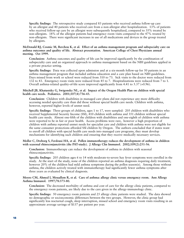**Specific findings:** The retrospective study compared 83 patients who received asthma follow-up care by an allergist and 40 patients who received care from a non-allergist after hospitalization. 13% of patients who received follow-up care by an allergist were subsequently hospitalized, compared to 35% treated by non-allergists. 18% of the allergist patients had emergency room visits compared to the 47% treated by non-allergists. There were significant increases in use of all medications and devices in the group treated by allergists.

**McDonald RJ, Cosmic M, Berchou K, et al. Effect of an asthma management program and subspecialty care on asthma outcomes and quality of life. Abstract presentation. American College of Chest Physicians annual meeting. Oct 1999.**

**Conclusion:** Asthma outcomes and quality of life can be improved significantly by the combination of subspecialty care and an organized approach to asthma management based on the NIH guidelines applied in a private practice setting.

**Specific findings:** Data was collected upon admission and at a six-month follow-up for 50 patients in an asthma management program that included asthma education and a care plan based on NIH guidelines. Days missed from work or school were reduced from 310 to 73. Sick visits to the doctor were reduced from 132 to 43. Emergency room visits were reduced from 45 to 7. Hospitalizations were reduced from 7 to 1. Overall asthma-related quality-of-life score improved significantly from 4.41 to 5.37 (+0.96).

#### **Mitchell JB, Khatustsky G, Swigonsky NL, et al. Impact of the Oregon Health Plan on children with special health care needs. Pediatrics. 2001;107(4):736-43.**

**Conclusion:** Children with disabilities in managed care plans did not experience any more difficulty accessing needed specialty care than did those without special health care needs. Children with asthma, however, reported higher levels of unmet need.

**Specific findings:** Three groups of children, ages 1 to 17, were sampled: 205 children with disabilities who received Supplemental Security Income (SSI), 410 children with asthma and 351 children without special health care needs. Almost one-fifth of the children with disabilities and one-eighth of children with asthma were reported to be in fair or poor health. Access problems were rare, however a high proportion of children with asthma reported unmet needs for specialist care and children with asthma were not eligible for the same consumer protections afforded SSI children by Oregon. The authors concluded that if states want to enroll all children with special health care needs into managed care programs, they must develop mechanisms for identifying such children and ensuring that they receive medically necessary services.

**Moller C, Dreborg S, Ferdousi HA, et al. Pollen immunotherapy reduces the development of asthma in children with seasonal rhinoconjunctivitis (the PAT-study). J Allergy Clin Immunol. 2002;109(2):251-56.** 

**Conclusion:** Immunotherapy can reduce the development of asthma in children with seasonal rhinoconjunctivitis.

**Specific findings:** 205 children ages 6 to 14 with moderate-to-severe hay fever symptoms were enrolled in the study. At the start of the study, none of the children reported an asthma diagnosis requiring daily treatment, however 20% of the children had mild asthma symptoms during the pollen season(s). Among those without asthma, the children actively treated with immunotherapy had significantly fewer asthma symptoms after three years as evaluated by clinical diagnosis.

#### **Moore CM, Ahmed I, Mouallem R, et al. Care of asthma: allergy clinic versus emergency room. Ann Allergy Asthma Immunol. 1997;78:373-80.**

**Conclusion:** The decreased morbidity of asthma and cost of care for the allergy clinic patients, compared to the emergency room patients, are likely due to the care given in the allergy-immunology clinic.

**Specific findings:** 50 emergency room patients and 25 allergy clinic patients were studied. The data showed no demographic or socioeconomic differences between the two groups. However, the clinic group had significantly less nocturnal cough, sleep interruption, missed school and emergency room visits resulting in an approximate average savings of \$137 per patient per year.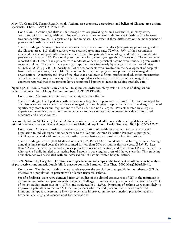#### **Moy JN, Grant EN, Turner-Roan K, et al. Asthma care practices, perceptions, and beliefs of Chicago-area asthma specialists. Chest. 1999;116:154S-162S.**

**Conclusion:** Asthma specialists in the Chicago area are providing asthma care that is, in many ways, consistent with national guidelines. However, there also are important differences in asthma care between two subspecialty groups: allergists and pulmonologists. The effect of these differences on the management of persons with asthma is not known.

**Specific findings:** A cross-sectional survey was mailed to asthma specialists (allergists or pulmonologists) in the Chicago area. 113 eligible surveys were returned (response rate, 72.0%). 99% of the respondents indicated they would prescribe inhaled corticosteroids for patients 5 years of age and older with moderate persistent asthma, and 85.5% would prescribe them for patients younger than 5 years old. The respondents reported that 71.2% of their patients with moderate or severe persistent asthma were routinely given written treatment plans. The use of these plans was reported more frequently by allergists than pulmonologists  $(77.6\% \text{ vs } 58.9\%, \text{ p} = 0.01)$ . Nearly half of the respondents were involved in the development of hospitalbased asthma programs; fewer (14.9%) were involved in developing asthma programs for managed care organizations. A majority (63.4%) of the physicians had given a formal professional education presentation on asthma in the past year. A majority of the respondents who care for patients under managed care contracts reported that these patients have encountered barriers to access in seeking specialty care.

#### **Nyman JA, Hillson S, Stoner T, DeVries A. Do specialists order too many tests? The case of allergists and pediatric asthma. Ann Allergy Asthma Immunol. 1997;79:496-502.**

**Conclusion:** Allergists' test-intensive practice style is cost-effective.

**Specific findings:** 1,574 pediatric asthma cases in a large health plan were reviewed. The cases managed by allergists were no more costly than those managed by non-allergists, despite the fact that the allergists ordered significantly more tests and required more office visits than non-allergists. Patients treated by allergists experienced fewer hospitalizations and emergency room visits resulting in cost-savings due to improved outcomes and disease control.

#### **Piecoro LT, Potoski M, Talbert JC, et al. Asthma prevalence, cost, and adherence with expert guidelines on the utilization of health care services and costs in a state Medicaid population. Health Serv Res. 2001 Jun;36(2):357-71.**

**Conclusion:** A review of asthma prevalence and utilization of health services in a Kentucky Medicaid population found widespread nonadherence to the National Asthma Education Program expert panel guidelines associated with an increase in asthma exacerbations that resulted in hospitalizations.

**Specific findings:** Of 530,000 Medicaid recipients, 24,365 (4.6%) were identified as having asthma. Average annual asthma-related costs (\$616) accounted for less than 20% of total health care costs (\$3,645). Less than 40% of the patients received a prescription for a rescue medication, and fewer than 10% of the patients who received daily inhaled short-acting beta-2 agonists were regular users of inhaled steroids. This guideline nonadherence was associated with an increased risk of asthma-related hospitalizations.

#### **Ross RN, Nelson HS, Finegold I. Effectiveness of specific immunotherapy in the treatment of asthma: a meta-analysis of prospective, randomized, double-blind, placebo-controlled studies. Clin Ther. 2000 Mar;22(3):329-41.**

**Conclusion:** The findings of this meta-analysis support the conclusion that specific immunotherapy (SIT) is effective in a population of patients with allergen-triggered asthma.

**Specific findings:** Data were extracted from 24 studies of the clinical effectiveness of SIT in the treatment of asthma in 962 asthmatic patients with documented allergy. Immunotherapy was judged effective in 17 (71%) of the 24 studies, ineffective in 4 (17%), and equivocal in 3 (12%). Symptoms of asthma were more likely to improve in patients who received SIT than in patients who received placebo. Patients who received immuonotherapy also were more likely to experience improved pulmonary function, protection against bronchial challenge and reduced need for medications.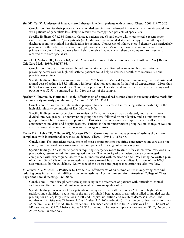#### **Sin DD, Tu JV. Underuse of inhaled steroid therapy in elderly patients with asthma. Chest. 2001;119:720-25.**

**Conclusion:** Despite their proven efficacy, inhaled steroids are underused in the elderly asthmatic population with patients of generalists less likely to receive the therapy than patients of specialists.

**Specific findings:** Of 6,254 Ontario, Canada, patients age 65 and older who experienced a recent acute exacerbation of asthma, 2,495 patients (40%) did not receive inhaled steroid therapy within 90 days of discharge from their initial hospitalization for asthma. Nonreceipt of inhaled steroid therapy was particularly prominent in the older patients with multiple comorbidities. Moreover, those who received care from primary care physicians also were less likely to receive inhaled steroid therapy, compared to those who received care from specialists.

**Smith DH, Malone DC, Lawson KA, et al. A national estimate of the economic costs of asthma. Am J Respir Crit Care Med. 1997;156:787-93.**

**Conclusion:** Future asthma research and intervention efforts directed at reducing hospitalization and providing better care for high-risk asthma patients could help to decrease health care resource use and provide cost savings.

**Specific findings:** Based on an analysis of the 1987 National Medical Expenditure Survey, the total estimated annual cost of asthma is \$5.8 billion, with hospitalization accounting for half of all expenditures. More than 80% of resources were used by 20% of the population. The estimated annual per patient cost for high-risk patients was \$2,584, compared to \$140 for the rest of the sample.

#### **Sperber K, Ibrahim H, Hoffman B, et al. Effectiveness of a specialized asthma clinic in reducing asthma morbidity in an inner-city minority population. J Asthma. 1995;32:335-43.**

**Conclusion:** An outpatient intervention program has been successful in reducing asthma morbidity in the high-risk minority community of East Harlem, N.Y.

**Specific findings:** A retrospective chart review of 84 patient records was conducted, and patients were divided into two groups: an intervention group that was followed by an allergist, and a nonintervention group followed by a primary care physician. Patients in the intervention group had fewer walk-in visits, emergency room visits and hospitalizations. Patients in the nonintervention group had no change in walk-in visits or hospitalizations, and an increase in emergency visits.

#### **Taylor DM, Auble TE, Calhoun WJ, Mosesso VN Jr. Current outpatient management of asthma shows poor compliance with international consensus guidelines. Chest. 1999;116:1638-45.**

**Conclusion:** The outpatient management of most asthma patients requiring emergency room care does not comply with national consensus guidelines and patient knowledge of asthma is poor.

**Specific findings:** 85 asthmatic patients requiring emergency room treatment for asthma were reviewed in a prospective, researcher-administered questionnaire. The majority of the patients were not managed in compliance with expert guidelines with 62% undertreated with medication and 87% having no written plan of action. Only 28% of the severe asthmatics were treated by asthma specialists, far short of the 100% recommended by the guidelines. Knowledge of the disease and proper medication use also was low.

#### **Villanueva AG, Mitchell L, Ponticelli D, Levine AS. Effectiveness of an asthma center in improving care and reducing costs in patients with difficult-to-control asthma. Abstract presentation. American College of Chest Physicians annual meeting. Oct 2000.**

**Conclusion:** A multidisciplinary team specializing in the treatment of patients with difficult-to-control asthma can effect substantial cost savings while improving quality of care.

**Specific findings:** A review of 125 patients receiving care in an asthma center (AC) found high patient satisfaction, a significant reduction in the ratio of inhaled beta agonist prescriptions filled to inhaled steroid prescriptions filled, large reductions in ER and hospital utilization and resultant decrease in cost. The number of ER visits was 74 before AC vs 17 after AC (76% reduction). The number of hospitalizations was 38 before AC vs 4 after AC (89% reduction). The mean cost of the initial AC visit was \$770. The cost of ER care totaled \$34,706 before AC vs \$7,973 after AC. The cost of inpatient care totaled \$192,926 before AC vs \$20,308 after AC.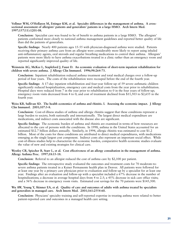#### **Vollmer WM, O'Hollaren M, Ettinger KM, et al. Specialty differences in the management of asthma. A crosssectional assessment of allergists' patients and generalists' patients in a large HMO. Arch Intern Med. 1997;157(11):1201-08.**

**Conclusion:** Specialist care was found to be of benefit to asthma patients in a large HMO. The allergists' patients conformed more closely to national asthma management guidelines and reported better quality of life than did the patients of generalists.

**Specific findings:** Nearly 400 patients ages 15-55 with physician-diagnosed asthma were studied. Patients receiving their primary asthma care from an allergist were considerably more likely to report using inhaled anti-inflammatory agents, oral steroids and regular breathing medications to control their asthma. Allergists' patients were more likely to have asthma exacerbations treated in a clinic rather than an emergency room and reported significantly improved quality of life.

**Weinstein AG, McKee L, Stapleford J, Faust D. An economic evaluation of short-term inpatient rehabilitation for children with severe asthma. J Allergy Clin Immunol. 1996;98:264-73.**

**Conclusion:** Inpatient rehabilitation reduced asthma treatment and total medical charges over a follow-up period of four years. The costs of the rehabilitation were recouped before the end of the fourth year.

**Specific findings:** A 17-day inpatient rehabilitation and four-year follow-up of 59 severe asthmatic children significantly reduced hospitalization, emergency care and medical costs from the year prior to rehabilitation. Hospital days were reduced from 7 in the year prior to rehabilitation to 0 in the four years of follow-up; emergency room visits decreased from 4 to 0; and cost of treatment declined from \$11,503 to \$2,655 in the fourth year.

**Weiss KB, Sullivan SD. The health economics of asthma and rhinitis. I. Assessing the economic impact. J Allergy Clin Immunol. 2001;107:3-8.**

**Conclusion:** Cost-of-illness studies of asthma and allergic rhinitis suggest that these conditions represent a large burden to society, both nationally and internationally. The largest direct medical expenditure are medications, and indirect costs associated with the disease also are significant.

**Specific findings:** The economic burden of asthma and rhinitis are examined in terms of how resources are allocated to the care of persons with the conditions. In 1998, asthma in the United States accounted for an estimated \$12.7 billion dollars annually. Similarly, in 1994, allergic rhinitis was estimated to cost \$1.2 billion. Most of the costs for these conditions are attributed to direct medical expenditures, with medications emerging as the single largest cost component. Indirect costs also represent an important social effect. While cost-of-illness studies help to characterize the economic burden, comparative health economic studies evaluate the value of new and existing strategies for clinical care.

#### **Westley CR, Spiecher B, Starr L, et al. Cost effectiveness of an allergy consultation in the management of asthma. Allergy Asthma Proc. 1997;18:15-18.**

**Conclusion:** Referral to an allergist reduced the cost of asthma care by \$2,100 per patient.

**Specific findings:** The retrospective study evaluated the outcomes and treatment costs for 70 moderate-tosevere asthma patients treated in a Kaiser Permanente health plan in Denver. All patients were followed for at least one year by a primary care physician prior to evaluation and follow-up by a specialist for at least one year. Findings after an evaluation and follow-up with a specialist included a 67% decrease in the number of hospitalizations; a decrease in average hospital days from 4 to 2.5; a 45% decrease in sick care office visits; and a 56% decrease in emergency room visits. Estimated cost savings for the 70 patients were \$145,500.

#### **Wu AW, Young Y, Skinner EA, et al. Quality of care and outcomes of adults with asthma treated by specialists and generalists in managed care. Arch Intern Med. 2001;161:2554-60.**

**Conclusion:** Physcians' specialty training and self-reported expertise in treating asthma were related to better patient-reported care and outcomes in a managed health care setting.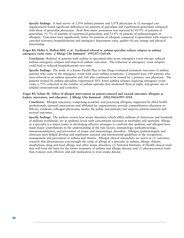**Specific findings:** A mail survey of 1,954 asthma patients and 1,078 physicians in 12 managed care organizations found significant differences for patients of specialists and experienced generalists compared with those of generalist physicians. Peak flow meter possession was reported by 41.9% of patients of generalists, 51.7% of patients of experienced generalists, and 53.8% of patients of pulmonologists or allergists. Outcomes were significantly better for patients of allergists compared to generalists with respect to canceled activities, hospitalizations and emergency department visits, quality-of-care ratings and physical functioning.

**Zeiger RS, Heller S, Mellon MH, et al. Facilitated referral to asthma specialist reduces relapses in asthma emergency room visits. J Allergy Clin Immunol. 1991;87:1160-68.**

**Conclusion:** Referral of patients with asthma to specialists after acute emergency room therapy reduced asthma emergency relapses and improved asthma outcomes. The reduction in emergency room relapses could lead to reduced hospitalizations over time.

**Specific findings:** The study of a Kaiser Health Plan in San Diego evaluated treatment outcomes of asthma patients who came to the emergency room with acute asthma symptoms. Compared were 149 patients who were referred to an asthma specialist and 160 who continued to be treated by a primary care physician. The patients treated by asthma specialists experienced 50% fewer asthma relapses requiring emergency room visits, a 75% reduction in the number of asthma episodes that awakened them at night, and greater use of inhaled corticosteroids and cromolyn.

#### **Zeiger RS, Schatz M. Effect of allergist intervention on patient-centered and societal outcomes: allergists as leaders, innovators, and educators. J Allergy Clin Immunol. 2002;106(6)995-1018.**

**Conclusion:** Allergist educators, comprising academic and practicing allergists, supported by allied health professionals, national associations and affiliated lay organizations, provide comprehensive education to fellows, residents, colleague physicians, media, the public and patients, and improve patient-centered and societal outcomes.

**Specific findings:** The authors review how atopic disorders, which afflict millions of Americans and hundreds of millions worldwide, are at epidemic levels with concomitant increases in morbidity and mortality. Allergy as a specialty is a major leader in developing effective strategies to confront this epidemic and allergists have made major contributions to the understanding of the risk factors, immunology, pathophysiology, immunomodulation, and prevention of atopic and immunologic disorders. Allergist epidemiologists and clinicians have helped develop and implement national and international guidelines in the recognition, management and prevention of asthma and rhinitis. Allergist clinical researchers are active in (1) outcomes research that demonstrates convincingly the value of allergy as a specialty in asthma, allergic rhinitis, anaphylaxis, drug and food allergy, and other atopic disorders; (2) National Institutes of Health clinical trials that will form the basis for the future treatment of asthma and allergic disease; and (3) pharmaceutical trials that evaluate new, effective and safe medication to treat atopic disease.